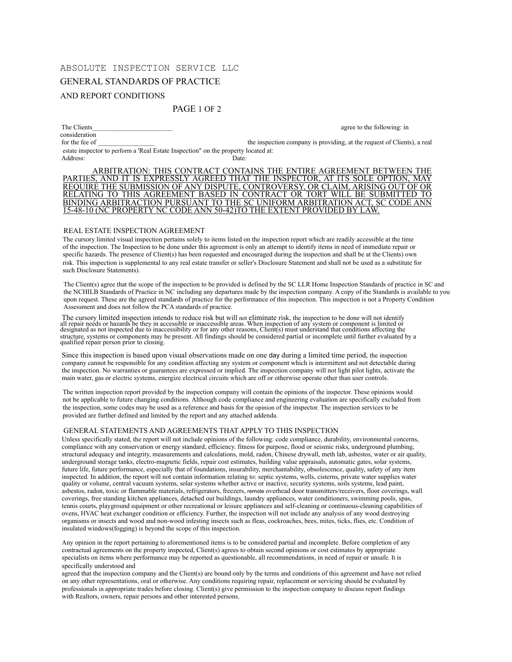# ABSOLUTE INSPECTION SERVICE LLC

## GENERAL STANDARDS OF PRACTICE

## AND REPORT CONDITIONS

## PAGE 1 OF 2

consideration

The Clients agree to the following: in

for the fee of \_\_\_\_\_\_\_\_\_\_\_\_\_\_\_\_\_\_\_\_\_ the inspection company is providing, at the request of Clients), a real estate inspector to perform a 'Real Estate Inspection" on the property located at:

Address: Date:

ARBITRATION: THIS CONTRACT CONTAINS THE ENTIRE AGREEMENT BETWEEN THE PARTIES, AND IT IS EXPRESSLY AGREED THAT THE INSPECTOR, AT ITS SOLE OPTION, MAY REQUIRE THE SUBMISSION OF ANY DISPUTE, CONTROVERSY, OR CLAIM, ARISING OUT OF OR RELATING TO THIS AGREEMENT BASED IN CONTRACT OR TORT WILL BE SUBMITTED TO BINDING ARBITRACTION PURSUANT TO THE SC UNIFORM ARBITRATION ACT, SC CODE ANN 15-48-10 (NC PROPERTY NC CODE ANN 50-42)TO THE EXTENT PROVIDED BY LAW.

#### REAL ESTATE INSPECTION AGREEMENT

The cursory limited visual inspection pertains solely to items listed on the inspection report which are readily accessible at the time of the inspection. The Inspection to be done under this agreement is only an attempt to identify items in need of immediate repair or specific hazards. The presence of Client(s) has been requested and encouraged during the inspection and shall be at the Clients) own risk. This inspection is supplemental to any real estate transfer or seller's Disclosure Statement and shall not be used as a substitute for such Disclosure Statements).

The Client(s) agree that the scope of the inspection to be provided is defined by the SC LLR Home Inspection Standards of practice in SC and the NCHILB Standards of Practice in NC including any departures made by the inspection company. A copy of the Standards is available to you upon request. These are the agreed standards of practice for the performance of this inspection. This inspection is not a Property Condition Assessment and does not follow the PCA standards of practice.

The cursory limited inspection intends to reduce risk but will not eliminate risk, the inspection to be done will not identify all repair needs or hazards be they in accessible or inaccessible areas. When inspection of any structure, systems or components may be present. All findings should be considered partial or incomplete until further evaluated by a qualified repair person prior to closing.

Since this inspection is based upon visual observations made on one day during a limited time period, the inspection company cannot be responsible for any condition affecting any system or component which is intermittent and not detectable during the inspection. No warranties or guarantees are expressed or implied. The inspection company will not light pilot lights, activate the main water, gas or electric systems, energize electrical circuits which are off or otherwise operate other than user controls.

The written inspection report provided by the inspection company will contain the opinions of the inspector. These opinions would not be applicable to future changing conditions. Although code compliance and engineering evaluation are specifically excluded from the inspection, some codes may be used as a reference and basis for the opinion of the inspector. The inspection services to be provided are further defined and limited by the report and any attached addenda.

#### GENERAL STATEMENTS AND AGREEMENTS THAT APPLY TO THIS INSPECTION

Unless specifically stated, the report will not include opinions of the following: code compliance, durability, environmental concerns, compliance with any conservation or energy standard, efficiency. fitness for purpose, flood or seismic risks, underground plumbing, structural adequacy and integrity, measurements and calculations, mold, radon, Chinese drywall, meth lab, asbestos, water or air quality, underground storage tanks, electro-magnetic fields, repair cost estimates, building value appraisals, automatic gates, solar systems, future life, future performance, especially that of foundations, insurability, merchantability, obsolescence, quality, safety of any item inspected. In addition, the report will not contain information relating to: septic systems, wells, cisterns, private water supplies water quality or volume, central vacuum systems, solar systems whether active or inactive, security systems, soils systems, lead paint, asbestos, radon, toxic or flammable materials, refrigerators, freezers, remote overhead door transmitters/receivers, floor coverings, wall coverings, free standing kitchen appliances, detached out buildings, laundry appliances, water conditioners, swimming pools, spas, tennis courts, playground equipment or other recreational or leisure appliances and self-cleaning or continuous-cleaning capabilities of ovens, HVAC heat exchanger condition or efficiency. Further, the inspection will not include any analysis of any wood destroying organisms or insects and wood and non-wood infesting insects such as fleas, cockroaches, bees, mites, ticks, flies, etc. Condition of insulated windows(fogging) is beyond the scope of this inspection.

Any opinion in the report pertaining to aforementioned items is to be considered partial and incomplete. Before completion of any contractual agreements on the property inspected, Client(s) agrees to obtain second opinions or cost estimates by appropriate specialists on items where performance may be reported as questionable, all recommendations, in need of repair or unsafe. It is specifically understood and

agreed that the inspection company and the Client(s) are bound only by the terms and conditions of this agreement and have not relied on any other representations, oral or otherwise. Any conditions requiring repair, replacement or servicing should be evaluated by professionals in appropriate trades before closing. Client(s) give permission to the inspection company to discuss report findings with Realtors, owners, repair persons and other interested persons.